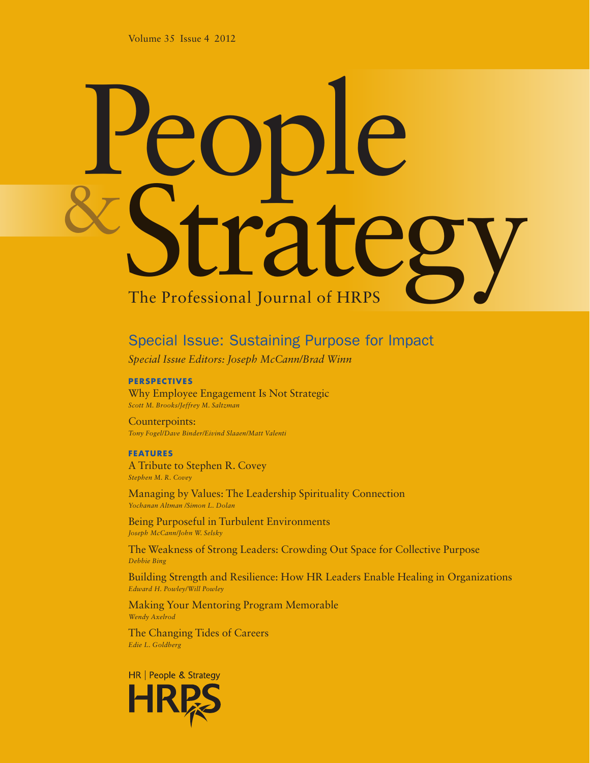# People<br>*&Strategy* The Professional Journal of HRPS

# Special Issue: Sustaining Purpose for Impact

*Special Issue Editors: Joseph McCann/Brad Winn*

### **PERSPECT IVES**

Why Employee Engagement Is Not Strategic *Scott M. Brooks/Jeffrey M. Saltzman*

### Counterpoints: *Tony Fogel/Dave Binder/Eivind Slaaen/Matt Valenti*

### **Features**

A Tribute to Stephen R. Covey *Stephen M. R. Covey*

Managing by Values: The Leadership Spirituality Connection *Yochanan Altman /Simon L. Dolan*

Being Purposeful in Turbulent Environments *Joseph McCann/John W. Selsky*

The Weakness of Strong Leaders: Crowding Out Space for Collective Purpose *Debbie Bing*

Building Strength and Resilience: How HR Leaders Enable Healing in Organizations *Edward H. Powley/Will Powley*

Making Your Mentoring Program Memorable *Wendy Axelrod*

The Changing Tides of Careers *Edie L. Goldberg*

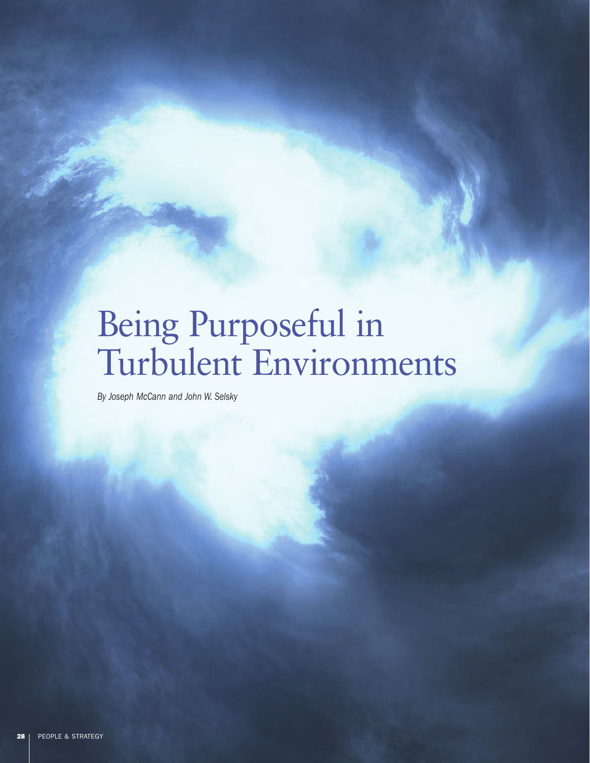# Being Purposeful in Turbulent Environments

*By Joseph McCann and John W. Selsky*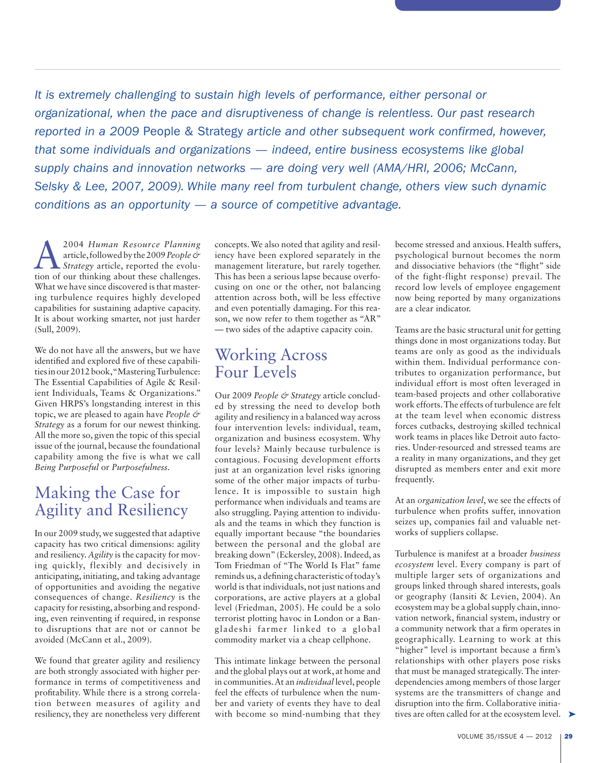*It is extremely challenging to sustain high levels of performance, either personal or organizational, when the pace and disruptiveness of change is relentless. Our past research reported in a 2009* People & Strategy *article and other subsequent work confirmed, however, that some individuals and organizations — indeed, entire business ecosystems like global supply chains and innovation networks — are doing very well (AMA/HRI, 2006; McCann, Selsky & Lee, 2007, 2009). While many reel from turbulent change, others view such dynamic conditions as an opportunity — a source of competitive advantage.*

**A**<br> **A**<br> **Strategy** article, reported the evolu-<br> **Strategy** article, reported the evoluarticle, followed by the 2009 *People &*  tion of our thinking about these challenges. What we have since discovered is that mastering turbulence requires highly developed capabilities for sustaining adaptive capacity. It is about working smarter, not just harder (Sull, 2009).

We do not have all the answers, but we have identified and explored five of these capabilities in our 2012 book, "Mastering Turbulence: The Essential Capabilities of Agile & Resilient Individuals, Teams & Organizations." Given HRPS's longstanding interest in this topic, we are pleased to again have *People & Strategy* as a forum for our newest thinking. All the more so, given the topic of this special issue of the journal, because the foundational capability among the five is what we call *Being Purposeful* or *Purposefulness.*

# Making the Case for Agility and Resiliency

In our 2009 study, we suggested that adaptive capacity has two critical dimensions: agility and resiliency. *Agility* is the capacity for moving quickly, flexibly and decisively in anticipating, initiating, and taking advantage of opportunities and avoiding the negative consequences of change. *Resiliency* is the capacity for resisting, absorbing and responding, even reinventing if required, in response to disruptions that are not or cannot be avoided (McCann et al., 2009).

We found that greater agility and resiliency are both strongly associated with higher performance in terms of competitiveness and profitability. While there is a strong correlation between measures of agility and resiliency, they are nonetheless very different

concepts. We also noted that agility and resiliency have been explored separately in the management literature, but rarely together. This has been a serious lapse because overfocusing on one or the other, not balancing attention across both, will be less effective and even potentially damaging. For this reason, we now refer to them together as "AR" — two sides of the adaptive capacity coin.

# Working Across Four Levels

Our 2009 *People & Strategy* article concluded by stressing the need to develop both agility and resiliency in a balanced way across four intervention levels: individual, team, organization and business ecosystem. Why four levels? Mainly because turbulence is contagious. Focusing development efforts just at an organization level risks ignoring some of the other major impacts of turbulence. It is impossible to sustain high performance when individuals and teams are also struggling. Paying attention to individuals and the teams in which they function is equally important because "the boundaries between the personal and the global are breaking down" (Eckersley, 2008). Indeed, as Tom Friedman of "The World Is Flat" fame reminds us, a defining characteristic of today's world is that individuals, not just nations and corporations, are active players at a global level (Friedman, 2005). He could be a solo terrorist plotting havoc in London or a Bangladeshi farmer linked to a global commodity market via a cheap cellphone.

This intimate linkage between the personal and the global plays out at work, at home and in communities. At an *individual* level, people feel the effects of turbulence when the number and variety of events they have to deal with become so mind-numbing that they become stressed and anxious. Health suffers, psychological burnout becomes the norm and dissociative behaviors (the "flight" side of the fight-flight response) prevail. The record low levels of employee engagement now being reported by many organizations are a clear indicator.

Teams are the basic structural unit for getting things done in most organizations today. But teams are only as good as the individuals within them. Individual performance contributes to organization performance, but individual effort is most often leveraged in team-based projects and other collaborative work efforts. The effects of turbulence are felt at the team level when economic distress forces cutbacks, destroying skilled technical work teams in places like Detroit auto factories. Under-resourced and stressed teams are a reality in many organizations, and they get disrupted as members enter and exit more frequently.

At an *organization level*, we see the effects of turbulence when profits suffer, innovation seizes up, companies fail and valuable networks of suppliers collapse.

Turbulence is manifest at a broader *business ecosystem* level. Every company is part of multiple larger sets of organizations and groups linked through shared interests, goals or geography (Iansiti & Levien, 2004). An ecosystem may be a global supply chain, innovation network, financial system, industry or a community network that a firm operates in geographically. Learning to work at this "higher" level is important because a firm's relationships with other players pose risks that must be managed strategically. The interdependencies among members of those larger systems are the transmitters of change and disruption into the firm. Collaborative initiatives are often called for at the ecosystem level. ►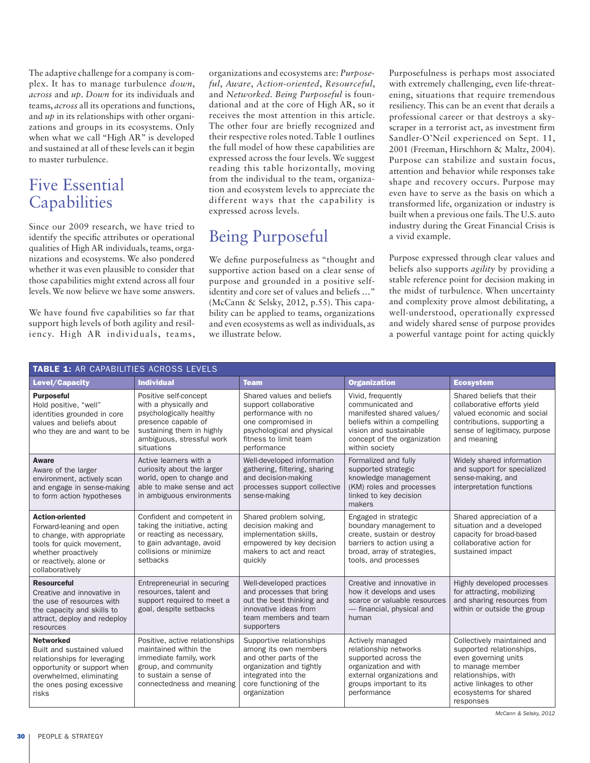The adaptive challenge for a company is complex. It has to manage turbulence *down*, *across* and *up*. *Down* for its individuals and teams, *across* all its operations and functions, and *up* in its relationships with other organizations and groups in its ecosystems. Only when what we call "High AR" is developed and sustained at all of these levels can it begin to master turbulence.

# Five Essential **Capabilities**

Since our 2009 research, we have tried to identify the specific attributes or operational qualities of High AR individuals, teams, organizations and ecosystems. We also pondered whether it was even plausible to consider that those capabilities might extend across all four levels. We now believe we have some answers.

We have found five capabilities so far that support high levels of both agility and resiliency. High AR individuals, teams, organizations and ecosystems are: *Purposeful*, *Aware*, *Action-oriented*, *Resourceful*, and *Networked*. *Being Purposeful* is foundational and at the core of High AR, so it receives the most attention in this article. The other four are briefly recognized and their respective roles noted. Table 1 outlines the full model of how these capabilities are expressed across the four levels. We suggest reading this table horizontally, moving from the individual to the team, organization and ecosystem levels to appreciate the different ways that the capability is expressed across levels.

# Being Purposeful

We define purposefulness as "thought and supportive action based on a clear sense of purpose and grounded in a positive selfidentity and core set of values and beliefs …" (McCann & Selsky, 2012, p.55). This capability can be applied to teams, organizations and even ecosystems as well as individuals, as we illustrate below.

Purposefulness is perhaps most associated with extremely challenging, even life-threatening, situations that require tremendous resiliency. This can be an event that derails a professional career or that destroys a skyscraper in a terrorist act, as investment firm Sandler-O'Neil experienced on Sept. 11, 2001 (Freeman, Hirschhorn & Maltz, 2004). Purpose can stabilize and sustain focus, attention and behavior while responses take shape and recovery occurs. Purpose may even have to serve as the basis on which a transformed life, organization or industry is built when a previous one fails. The U.S. auto industry during the Great Financial Crisis is a vivid example.

Purpose expressed through clear values and beliefs also supports *agility* by providing a stable reference point for decision making in the midst of turbulence. When uncertainty and complexity prove almost debilitating, a well-understood, operationally expressed and widely shared sense of purpose provides a powerful vantage point for acting quickly

| <b>TABLE 1: AR CAPABILITIES ACROSS LEVELS</b>                                                                                                                                       |                                                                                                                                                                          |                                                                                                                                                                           |                                                                                                                                                                              |                                                                                                                                                                                              |
|-------------------------------------------------------------------------------------------------------------------------------------------------------------------------------------|--------------------------------------------------------------------------------------------------------------------------------------------------------------------------|---------------------------------------------------------------------------------------------------------------------------------------------------------------------------|------------------------------------------------------------------------------------------------------------------------------------------------------------------------------|----------------------------------------------------------------------------------------------------------------------------------------------------------------------------------------------|
| Level/Capacity                                                                                                                                                                      | <b>Individual</b>                                                                                                                                                        | <b>Team</b>                                                                                                                                                               | <b>Organization</b>                                                                                                                                                          | <b>Ecosystem</b>                                                                                                                                                                             |
| <b>Purposeful</b><br>Hold positive, "well"<br>identities grounded in core<br>values and beliefs about<br>who they are and want to be                                                | Positive self-concept<br>with a physically and<br>psychologically healthy<br>presence capable of<br>sustaining them in highly<br>ambiguous, stressful work<br>situations | Shared values and beliefs<br>support collaborative<br>performance with no<br>one compromised in<br>psychological and physical<br>fitness to limit team<br>performance     | Vivid, frequently<br>communicated and<br>manifested shared values/<br>beliefs within a compelling<br>vision and sustainable<br>concept of the organization<br>within society | Shared beliefs that their<br>collaborative efforts yield<br>valued economic and social<br>contributions, supporting a<br>sense of legitimacy, purpose<br>and meaning                         |
| <b>Aware</b><br>Aware of the larger<br>environment, actively scan<br>and engage in sense-making<br>to form action hypotheses                                                        | Active learners with a<br>curiosity about the larger<br>world, open to change and<br>able to make sense and act<br>in ambiguous environments                             | Well-developed information<br>gathering, filtering, sharing<br>and decision-making<br>processes support collective<br>sense-making                                        | Formalized and fully<br>supported strategic<br>knowledge management<br>(KM) roles and processes<br>linked to key decision<br>makers                                          | Widely shared information<br>and support for specialized<br>sense-making, and<br>interpretation functions                                                                                    |
| <b>Action-oriented</b><br>Forward-leaning and open<br>to change, with appropriate<br>tools for quick movement,<br>whether proactively<br>or reactively, alone or<br>collaboratively | Confident and competent in<br>taking the initiative, acting<br>or reacting as necessary,<br>to gain advantage, avoid<br>collisions or minimize<br>setbacks               | Shared problem solving,<br>decision making and<br>implementation skills,<br>empowered by key decision<br>makers to act and react<br>auickly                               | Engaged in strategic<br>boundary management to<br>create, sustain or destroy<br>barriers to action using a<br>broad, array of strategies,<br>tools, and processes            | Shared appreciation of a<br>situation and a developed<br>capacity for broad-based<br>collaborative action for<br>sustained impact                                                            |
| <b>Resourceful</b><br>Creative and innovative in<br>the use of resources with<br>the capacity and skills to<br>attract, deploy and redeploy<br>resources                            | Entrepreneurial in securing<br>resources, talent and<br>support required to meet a<br>goal, despite setbacks                                                             | Well-developed practices<br>and processes that bring<br>out the best thinking and<br>innovative ideas from<br>team members and team<br>supporters                         | Creative and innovative in<br>how it develops and uses<br>scarce or valuable resources<br>- financial, physical and<br>human                                                 | Highly developed processes<br>for attracting, mobilizing<br>and sharing resources from<br>within or outside the group                                                                        |
| <b>Networked</b><br>Built and sustained valued<br>relationships for leveraging<br>opportunity or support when<br>overwhelmed, eliminating<br>the ones posing excessive<br>risks     | Positive, active relationships<br>maintained within the<br>immediate family, work<br>group, and community<br>to sustain a sense of<br>connectedness and meaning          | Supportive relationships<br>among its own members<br>and other parts of the<br>organization and tightly<br>integrated into the<br>core functioning of the<br>organization | Actively managed<br>relationship networks<br>supported across the<br>organization and with<br>external organizations and<br>groups important to its<br>performance           | Collectively maintained and<br>supported relationships,<br>even governing units<br>to manage member<br>relationships, with<br>active linkages to other<br>ecosystems for shared<br>responses |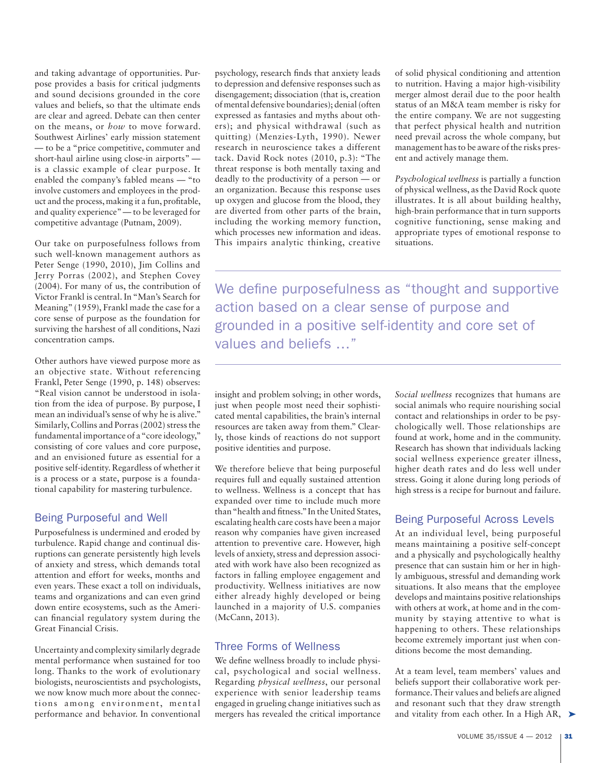and taking advantage of opportunities. Purpose provides a basis for critical judgments and sound decisions grounded in the core values and beliefs, so that the ultimate ends are clear and agreed. Debate can then center on the means, or *how* to move forward. Southwest Airlines' early mission statement — to be a "price competitive, commuter and short-haul airline using close-in airports" is a classic example of clear purpose. It enabled the company's fabled means — "to involve customers and employees in the product and the process, making it a fun, profitable, and quality experience" — to be leveraged for competitive advantage (Putnam, 2009).

Our take on purposefulness follows from such well-known management authors as Peter Senge (1990, 2010), Jim Collins and Jerry Porras (2002), and Stephen Covey (2004). For many of us, the contribution of Victor Frankl is central. In "Man's Search for Meaning" (1959), Frankl made the case for a core sense of purpose as the foundation for surviving the harshest of all conditions, Nazi concentration camps.

Other authors have viewed purpose more as an objective state. Without referencing Frankl, Peter Senge (1990, p. 148) observes: "Real vision cannot be understood in isolation from the idea of purpose. By purpose, I mean an individual's sense of why he is alive." Similarly, Collins and Porras (2002) stress the fundamental importance of a "core ideology," consisting of core values and core purpose, and an envisioned future as essential for a positive self-identity. Regardless of whether it is a process or a state, purpose is a foundational capability for mastering turbulence.

### Being Purposeful and Well

Purposefulness is undermined and eroded by turbulence. Rapid change and continual disruptions can generate persistently high levels of anxiety and stress, which demands total attention and effort for weeks, months and even years. These exact a toll on individuals, teams and organizations and can even grind down entire ecosystems, such as the American financial regulatory system during the Great Financial Crisis.

Uncertainty and complexity similarly degrade mental performance when sustained for too long. Thanks to the work of evolutionary biologists, neuroscientists and psychologists, we now know much more about the connections among environment, mental

psychology, research finds that anxiety leads to depression and defensive responses such as disengagement; dissociation (that is, creation of mental defensive boundaries); denial (often expressed as fantasies and myths about others); and physical withdrawal (such as quitting) (Menzies-Lyth, 1990). Newer research in neuroscience takes a different tack. David Rock notes (2010, p.3): "The threat response is both mentally taxing and deadly to the productivity of a person — or an organization. Because this response uses up oxygen and glucose from the blood, they are diverted from other parts of the brain, including the working memory function, which processes new information and ideas. This impairs analytic thinking, creative of solid physical conditioning and attention to nutrition. Having a major high-visibility merger almost derail due to the poor health status of an M&A team member is risky for the entire company. We are not suggesting that perfect physical health and nutrition need prevail across the whole company, but management has to be aware of the risks present and actively manage them.

*Psychological wellness* is partially a function of physical wellness, as the David Rock quote illustrates. It is all about building healthy, high-brain performance that in turn supports cognitive functioning, sense making and appropriate types of emotional response to situations.

We define purposefulness as "thought and supportive action based on a clear sense of purpose and grounded in a positive self-identity and core set of values and beliefs …"

insight and problem solving; in other words, just when people most need their sophisticated mental capabilities, the brain's internal resources are taken away from them." Clearly, those kinds of reactions do not support positive identities and purpose.

We therefore believe that being purposeful requires full and equally sustained attention to wellness. Wellness is a concept that has expanded over time to include much more than "health and fitness." In the United States, escalating health care costs have been a major reason why companies have given increased attention to preventive care. However, high levels of anxiety, stress and depression associated with work have also been recognized as factors in falling employee engagement and productivity. Wellness initiatives are now either already highly developed or being launched in a majority of U.S. companies (McCann, 2013).

### Three Forms of Wellness

We define wellness broadly to include physical, psychological and social wellness. Regarding *physical wellness*, our personal experience with senior leadership teams engaged in grueling change initiatives such as *Social wellness* recognizes that humans are social animals who require nourishing social contact and relationships in order to be psychologically well. Those relationships are found at work, home and in the community. Research has shown that individuals lacking social wellness experience greater illness, higher death rates and do less well under stress. Going it alone during long periods of high stress is a recipe for burnout and failure.

### Being Purposeful Across Levels

At an individual level, being purposeful means maintaining a positive self-concept and a physically and psychologically healthy presence that can sustain him or her in highly ambiguous, stressful and demanding work situations. It also means that the employee develops and maintains positive relationships with others at work, at home and in the community by staying attentive to what is happening to others. These relationships become extremely important just when conditions become the most demanding.

performance and behavior. In conventional mergers has revealed the critical importance and vitality from each other. In a High AR,  $\blacktriangleright$ At a team level, team members' values and beliefs support their collaborative work performance. Their values and beliefs are aligned and resonant such that they draw strength and vitality from each other. In a High AR,  $\blacktriangleright$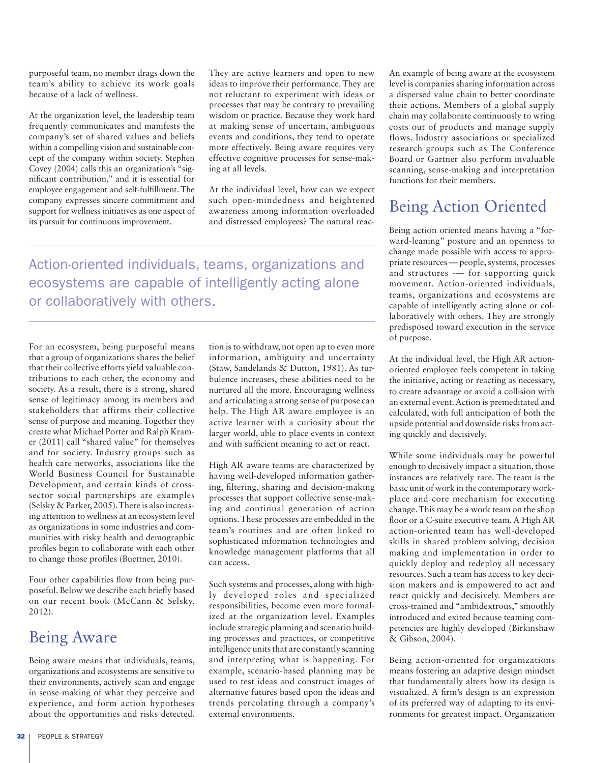purposeful team, no member drags down the team's ability to achieve its work goals because of a lack of wellness.

At the organization level, the leadership team frequently communicates and manifests the company's set of shared values and beliefs within a compelling vision and sustainable concept of the company within society. Stephen Covey (2004) calls this an organization's "significant contribution," and it is essential for employee engagement and self-fulfillment. The company expresses sincere commitment and support for wellness initiatives as one aspect of its pursuit for continuous improvement.

They are active learners and open to new ideas to improve their performance. They are not reluctant to experiment with ideas or processes that may be contrary to prevailing wisdom or practice. Because they work hard at making sense of uncertain, ambiguous events and conditions, they tend to operate more effectively. Being aware requires very effective cognitive processes for sense-making at all levels.

At the individual level, how can we expect such open-mindedness and heightened awareness among information overloaded and distressed employees? The natural reac-

Action-oriented individuals, teams, organizations and ecosystems are capable of intelligently acting alone or collaboratively with others.

For an ecosystem, being purposeful means that a group of organizations shares the belief that their collective efforts yield valuable contributions to each other, the economy and society. As a result, there is a strong, shared sense of legitimacy among its members and stakeholders that affirms their collective sense of purpose and meaning. Together they create what Michael Porter and Ralph Kramer (2011) call "shared value" for themselves and for society. Industry groups such as health care networks, associations like the World Business Council for Sustainable Development, and certain kinds of crosssector social partnerships are examples (Selsky & Parker, 2005). There is also increasing attention to wellness at an ecosystem level as organizations in some industries and communities with risky health and demographic profiles begin to collaborate with each other to change those profiles (Buettner, 2010).

Four other capabilities flow from being purposeful. Below we describe each briefly based on our recent book (McCann & Selsky, 2012).

# Being Aware

Being aware means that individuals, teams, organizations and ecosystems are sensitive to their environments, actively scan and engage in sense-making of what they perceive and experience, and form action hypotheses about the opportunities and risks detected. tion is to withdraw, not open up to even more information, ambiguity and uncertainty (Staw, Sandelands & Dutton, 1981). As turbulence increases, these abilities need to be nurtured all the more. Encouraging wellness and articulating a strong sense of purpose can help. The High AR aware employee is an active learner with a curiosity about the larger world, able to place events in context and with sufficient meaning to act or react.

High AR aware teams are characterized by having well-developed information gathering, filtering, sharing and decision-making processes that support collective sense-making and continual generation of action options. These processes are embedded in the team's routines and are often linked to sophisticated information technologies and knowledge management platforms that all can access.

Such systems and processes, along with highly developed roles and specialized responsibilities, become even more formalized at the organization level. Examples include strategic planning and scenario building processes and practices, or competitive intelligence units that are constantly scanning and interpreting what is happening. For example, scenario-based planning may be used to test ideas and construct images of alternative futures based upon the ideas and trends percolating through a company's external environments.

An example of being aware at the ecosystem level is companies sharing information across a dispersed value chain to better coordinate their actions. Members of a global supply chain may collaborate continuously to wring costs out of products and manage supply flows. Industry associations or specialized research groups such as The Conference Board or Gartner also perform invaluable scanning, sense-making and interpretation functions for their members.

# Being Action Oriented

Being action oriented means having a "forward-leaning" posture and an openness to change made possible with access to appropriate resources — people, systems, processes and structures -— for supporting quick movement. Action-oriented individuals, teams, organizations and ecosystems are capable of intelligently acting alone or collaboratively with others. They are strongly predisposed toward execution in the service of purpose.

At the individual level, the High AR actionoriented employee feels competent in taking the initiative, acting or reacting as necessary, to create advantage or avoid a collision with an external event. Action is premeditated and calculated, with full anticipation of both the upside potential and downside risks from acting quickly and decisively.

While some individuals may be powerful enough to decisively impact a situation, those instances are relatively rare. The team is the basic unit of work in the contemporary workplace and core mechanism for executing change. This may be a work team on the shop floor or a C-suite executive team. A High AR action-oriented team has well-developed skills in shared problem solving, decision making and implementation in order to quickly deploy and redeploy all necessary resources. Such a team has access to key decision makers and is empowered to act and react quickly and decisively. Members are cross-trained and "ambidextrous," smoothly introduced and exited because teaming competencies are highly developed (Birkinshaw & Gibson, 2004).

Being action-oriented for organizations means fostering an adaptive design mindset that fundamentally alters how its design is visualized. A firm's design is an expression of its preferred way of adapting to its environments for greatest impact. Organization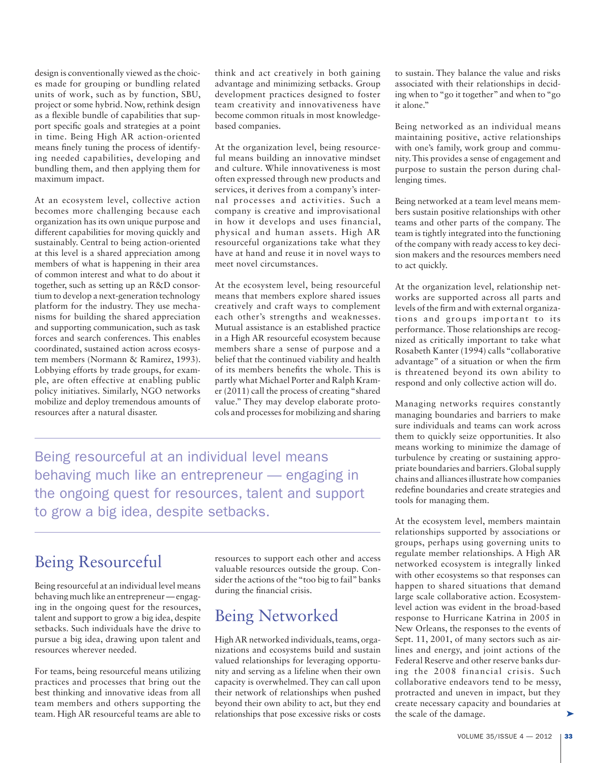design is conventionally viewed as the choices made for grouping or bundling related units of work, such as by function, SBU, project or some hybrid. Now, rethink design as a flexible bundle of capabilities that support specific goals and strategies at a point in time. Being High AR action-oriented means finely tuning the process of identifying needed capabilities, developing and bundling them, and then applying them for maximum impact.

At an ecosystem level, collective action becomes more challenging because each organization has its own unique purpose and different capabilities for moving quickly and sustainably. Central to being action-oriented at this level is a shared appreciation among members of what is happening in their area of common interest and what to do about it together, such as setting up an R&D consortium to develop a next-generation technology platform for the industry. They use mechanisms for building the shared appreciation and supporting communication, such as task forces and search conferences. This enables coordinated, sustained action across ecosystem members (Normann & Ramirez, 1993). Lobbying efforts by trade groups, for example, are often effective at enabling public policy initiatives. Similarly, NGO networks mobilize and deploy tremendous amounts of resources after a natural disaster.

think and act creatively in both gaining advantage and minimizing setbacks. Group development practices designed to foster team creativity and innovativeness have become common rituals in most knowledgebased companies.

At the organization level, being resourceful means building an innovative mindset and culture. While innovativeness is most often expressed through new products and services, it derives from a company's internal processes and activities. Such a company is creative and improvisational in how it develops and uses financial, physical and human assets. High AR resourceful organizations take what they have at hand and reuse it in novel ways to meet novel circumstances.

At the ecosystem level, being resourceful means that members explore shared issues creatively and craft ways to complement each other's strengths and weaknesses. Mutual assistance is an established practice in a High AR resourceful ecosystem because members share a sense of purpose and a belief that the continued viability and health of its members benefits the whole. This is partly what Michael Porter and Ralph Kramer (2011) call the process of creating "shared value." They may develop elaborate protocols and processes for mobilizing and sharing

Being resourceful at an individual level means behaving much like an entrepreneur — engaging in the ongoing quest for resources, talent and support to grow a big idea, despite setbacks.

# Being Resourceful

Being resourceful at an individual level means behaving much like an entrepreneur — engaging in the ongoing quest for the resources, talent and support to grow a big idea, despite setbacks. Such individuals have the drive to pursue a big idea, drawing upon talent and resources wherever needed.

For teams, being resourceful means utilizing practices and processes that bring out the best thinking and innovative ideas from all team members and others supporting the team. High AR resourceful teams are able to

resources to support each other and access valuable resources outside the group. Consider the actions of the "too big to fail" banks during the financial crisis.

# Being Networked

High AR networked individuals, teams, organizations and ecosystems build and sustain valued relationships for leveraging opportunity and serving as a lifeline when their own capacity is overwhelmed. They can call upon their network of relationships when pushed beyond their own ability to act, but they end relationships that pose excessive risks or costs to sustain. They balance the value and risks associated with their relationships in deciding when to "go it together" and when to "go it alone."

Being networked as an individual means maintaining positive, active relationships with one's family, work group and community. This provides a sense of engagement and purpose to sustain the person during challenging times.

Being networked at a team level means members sustain positive relationships with other teams and other parts of the company. The team is tightly integrated into the functioning of the company with ready access to key decision makers and the resources members need to act quickly.

At the organization level, relationship networks are supported across all parts and levels of the firm and with external organizations and groups important to its performance. Those relationships are recognized as critically important to take what Rosabeth Kanter (1994) calls "collaborative advantage" of a situation or when the firm is threatened beyond its own ability to respond and only collective action will do.

Managing networks requires constantly managing boundaries and barriers to make sure individuals and teams can work across them to quickly seize opportunities. It also means working to minimize the damage of turbulence by creating or sustaining appropriate boundaries and barriers. Global supply chains and alliances illustrate how companies redefine boundaries and create strategies and tools for managing them.

At the ecosystem level, members maintain relationships supported by associations or groups, perhaps using governing units to regulate member relationships. A High AR networked ecosystem is integrally linked with other ecosystems so that responses can happen to shared situations that demand large scale collaborative action. Ecosystemlevel action was evident in the broad-based response to Hurricane Katrina in 2005 in New Orleans, the responses to the events of Sept. 11, 2001, of many sectors such as airlines and energy, and joint actions of the Federal Reserve and other reserve banks during the 2008 financial crisis. Such collaborative endeavors tend to be messy, protracted and uneven in impact, but they create necessary capacity and boundaries at the scale of the damage.  $\blacktriangleright$